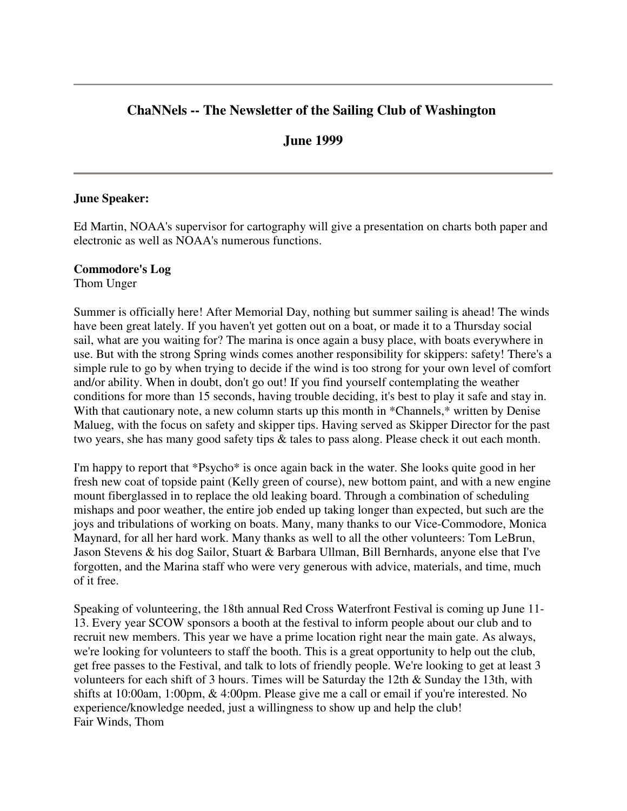# **ChaNNels -- The Newsletter of the Sailing Club of Washington**

## **June 1999**

#### **June Speaker:**

Ed Martin, NOAA's supervisor for cartography will give a presentation on charts both paper and electronic as well as NOAA's numerous functions.

#### **Commodore's Log**

Thom Unger

Summer is officially here! After Memorial Day, nothing but summer sailing is ahead! The winds have been great lately. If you haven't yet gotten out on a boat, or made it to a Thursday social sail, what are you waiting for? The marina is once again a busy place, with boats everywhere in use. But with the strong Spring winds comes another responsibility for skippers: safety! There's a simple rule to go by when trying to decide if the wind is too strong for your own level of comfort and/or ability. When in doubt, don't go out! If you find yourself contemplating the weather conditions for more than 15 seconds, having trouble deciding, it's best to play it safe and stay in. With that cautionary note, a new column starts up this month in \*Channels,\* written by Denise Malueg, with the focus on safety and skipper tips. Having served as Skipper Director for the past two years, she has many good safety tips & tales to pass along. Please check it out each month.

I'm happy to report that \*Psycho\* is once again back in the water. She looks quite good in her fresh new coat of topside paint (Kelly green of course), new bottom paint, and with a new engine mount fiberglassed in to replace the old leaking board. Through a combination of scheduling mishaps and poor weather, the entire job ended up taking longer than expected, but such are the joys and tribulations of working on boats. Many, many thanks to our Vice-Commodore, Monica Maynard, for all her hard work. Many thanks as well to all the other volunteers: Tom LeBrun, Jason Stevens & his dog Sailor, Stuart & Barbara Ullman, Bill Bernhards, anyone else that I've forgotten, and the Marina staff who were very generous with advice, materials, and time, much of it free.

Speaking of volunteering, the 18th annual Red Cross Waterfront Festival is coming up June 11- 13. Every year SCOW sponsors a booth at the festival to inform people about our club and to recruit new members. This year we have a prime location right near the main gate. As always, we're looking for volunteers to staff the booth. This is a great opportunity to help out the club, get free passes to the Festival, and talk to lots of friendly people. We're looking to get at least 3 volunteers for each shift of 3 hours. Times will be Saturday the 12th  $\&$  Sunday the 13th, with shifts at 10:00am, 1:00pm, & 4:00pm. Please give me a call or email if you're interested. No experience/knowledge needed, just a willingness to show up and help the club! Fair Winds, Thom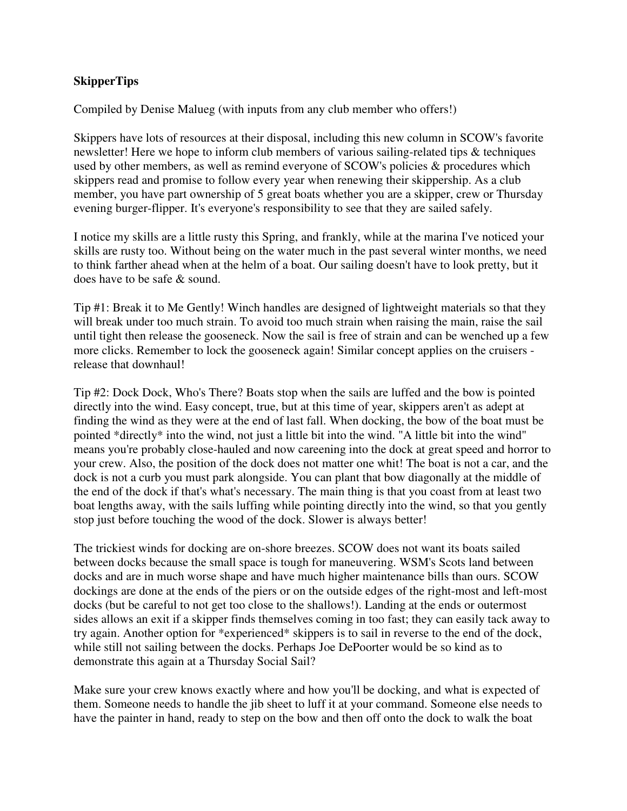## **SkipperTips**

Compiled by Denise Malueg (with inputs from any club member who offers!)

Skippers have lots of resources at their disposal, including this new column in SCOW's favorite newsletter! Here we hope to inform club members of various sailing-related tips & techniques used by other members, as well as remind everyone of SCOW's policies & procedures which skippers read and promise to follow every year when renewing their skippership. As a club member, you have part ownership of 5 great boats whether you are a skipper, crew or Thursday evening burger-flipper. It's everyone's responsibility to see that they are sailed safely.

I notice my skills are a little rusty this Spring, and frankly, while at the marina I've noticed your skills are rusty too. Without being on the water much in the past several winter months, we need to think farther ahead when at the helm of a boat. Our sailing doesn't have to look pretty, but it does have to be safe & sound.

Tip #1: Break it to Me Gently! Winch handles are designed of lightweight materials so that they will break under too much strain. To avoid too much strain when raising the main, raise the sail until tight then release the gooseneck. Now the sail is free of strain and can be wenched up a few more clicks. Remember to lock the gooseneck again! Similar concept applies on the cruisers release that downhaul!

Tip #2: Dock Dock, Who's There? Boats stop when the sails are luffed and the bow is pointed directly into the wind. Easy concept, true, but at this time of year, skippers aren't as adept at finding the wind as they were at the end of last fall. When docking, the bow of the boat must be pointed \*directly\* into the wind, not just a little bit into the wind. "A little bit into the wind" means you're probably close-hauled and now careening into the dock at great speed and horror to your crew. Also, the position of the dock does not matter one whit! The boat is not a car, and the dock is not a curb you must park alongside. You can plant that bow diagonally at the middle of the end of the dock if that's what's necessary. The main thing is that you coast from at least two boat lengths away, with the sails luffing while pointing directly into the wind, so that you gently stop just before touching the wood of the dock. Slower is always better!

The trickiest winds for docking are on-shore breezes. SCOW does not want its boats sailed between docks because the small space is tough for maneuvering. WSM's Scots land between docks and are in much worse shape and have much higher maintenance bills than ours. SCOW dockings are done at the ends of the piers or on the outside edges of the right-most and left-most docks (but be careful to not get too close to the shallows!). Landing at the ends or outermost sides allows an exit if a skipper finds themselves coming in too fast; they can easily tack away to try again. Another option for \*experienced\* skippers is to sail in reverse to the end of the dock, while still not sailing between the docks. Perhaps Joe DePoorter would be so kind as to demonstrate this again at a Thursday Social Sail?

Make sure your crew knows exactly where and how you'll be docking, and what is expected of them. Someone needs to handle the jib sheet to luff it at your command. Someone else needs to have the painter in hand, ready to step on the bow and then off onto the dock to walk the boat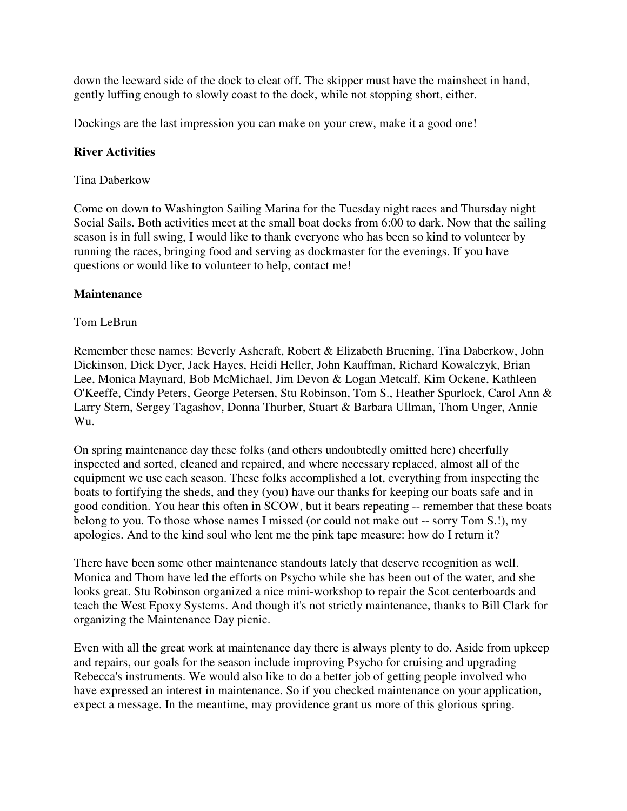down the leeward side of the dock to cleat off. The skipper must have the mainsheet in hand, gently luffing enough to slowly coast to the dock, while not stopping short, either.

Dockings are the last impression you can make on your crew, make it a good one!

### **River Activities**

### Tina Daberkow

Come on down to Washington Sailing Marina for the Tuesday night races and Thursday night Social Sails. Both activities meet at the small boat docks from 6:00 to dark. Now that the sailing season is in full swing, I would like to thank everyone who has been so kind to volunteer by running the races, bringing food and serving as dockmaster for the evenings. If you have questions or would like to volunteer to help, contact me!

#### **Maintenance**

### Tom LeBrun

Remember these names: Beverly Ashcraft, Robert & Elizabeth Bruening, Tina Daberkow, John Dickinson, Dick Dyer, Jack Hayes, Heidi Heller, John Kauffman, Richard Kowalczyk, Brian Lee, Monica Maynard, Bob McMichael, Jim Devon & Logan Metcalf, Kim Ockene, Kathleen O'Keeffe, Cindy Peters, George Petersen, Stu Robinson, Tom S., Heather Spurlock, Carol Ann & Larry Stern, Sergey Tagashov, Donna Thurber, Stuart & Barbara Ullman, Thom Unger, Annie Wu.

On spring maintenance day these folks (and others undoubtedly omitted here) cheerfully inspected and sorted, cleaned and repaired, and where necessary replaced, almost all of the equipment we use each season. These folks accomplished a lot, everything from inspecting the boats to fortifying the sheds, and they (you) have our thanks for keeping our boats safe and in good condition. You hear this often in SCOW, but it bears repeating -- remember that these boats belong to you. To those whose names I missed (or could not make out -- sorry Tom S.!), my apologies. And to the kind soul who lent me the pink tape measure: how do I return it?

There have been some other maintenance standouts lately that deserve recognition as well. Monica and Thom have led the efforts on Psycho while she has been out of the water, and she looks great. Stu Robinson organized a nice mini-workshop to repair the Scot centerboards and teach the West Epoxy Systems. And though it's not strictly maintenance, thanks to Bill Clark for organizing the Maintenance Day picnic.

Even with all the great work at maintenance day there is always plenty to do. Aside from upkeep and repairs, our goals for the season include improving Psycho for cruising and upgrading Rebecca's instruments. We would also like to do a better job of getting people involved who have expressed an interest in maintenance. So if you checked maintenance on your application, expect a message. In the meantime, may providence grant us more of this glorious spring.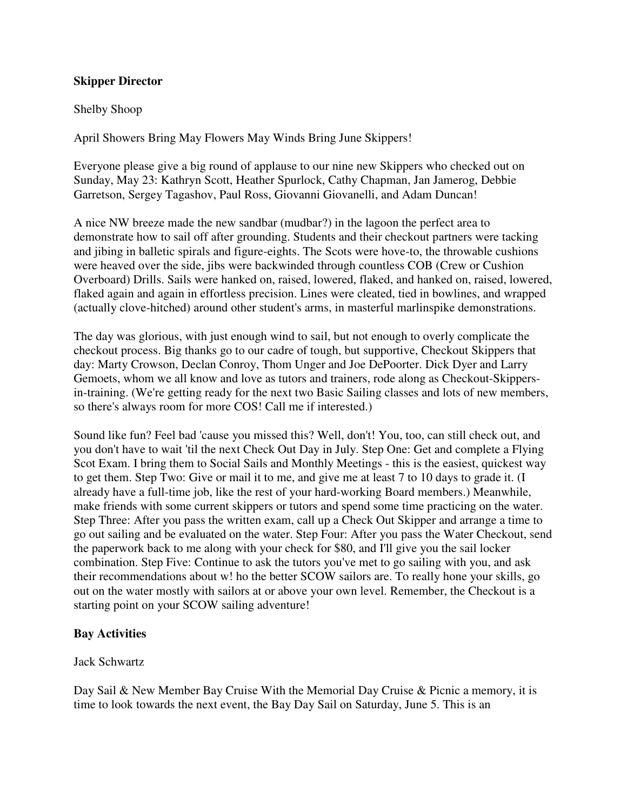#### **Skipper Director**

#### Shelby Shoop

April Showers Bring May Flowers May Winds Bring June Skippers!

Everyone please give a big round of applause to our nine new Skippers who checked out on Sunday, May 23: Kathryn Scott, Heather Spurlock, Cathy Chapman, Jan Jamerog, Debbie Garretson, Sergey Tagashov, Paul Ross, Giovanni Giovanelli, and Adam Duncan!

A nice NW breeze made the new sandbar (mudbar?) in the lagoon the perfect area to demonstrate how to sail off after grounding. Students and their checkout partners were tacking and jibing in balletic spirals and figure-eights. The Scots were hove-to, the throwable cushions were heaved over the side, jibs were backwinded through countless COB (Crew or Cushion Overboard) Drills. Sails were hanked on, raised, lowered, flaked, and hanked on, raised, lowered, flaked again and again in effortless precision. Lines were cleated, tied in bowlines, and wrapped (actually clove-hitched) around other student's arms, in masterful marlinspike demonstrations.

The day was glorious, with just enough wind to sail, but not enough to overly complicate the checkout process. Big thanks go to our cadre of tough, but supportive, Checkout Skippers that day: Marty Crowson, Declan Conroy, Thom Unger and Joe DePoorter. Dick Dyer and Larry Gemoets, whom we all know and love as tutors and trainers, rode along as Checkout-Skippersin-training. (We're getting ready for the next two Basic Sailing classes and lots of new members, so there's always room for more COS! Call me if interested.)

Sound like fun? Feel bad 'cause you missed this? Well, don't! You, too, can still check out, and you don't have to wait 'til the next Check Out Day in July. Step One: Get and complete a Flying Scot Exam. I bring them to Social Sails and Monthly Meetings - this is the easiest, quickest way to get them. Step Two: Give or mail it to me, and give me at least 7 to 10 days to grade it. (I already have a full-time job, like the rest of your hard-working Board members.) Meanwhile, make friends with some current skippers or tutors and spend some time practicing on the water. Step Three: After you pass the written exam, call up a Check Out Skipper and arrange a time to go out sailing and be evaluated on the water. Step Four: After you pass the Water Checkout, send the paperwork back to me along with your check for \$80, and I'll give you the sail locker combination. Step Five: Continue to ask the tutors you've met to go sailing with you, and ask their recommendations about w! ho the better SCOW sailors are. To really hone your skills, go out on the water mostly with sailors at or above your own level. Remember, the Checkout is a starting point on your SCOW sailing adventure!

## **Bay Activities**

Jack Schwartz

Day Sail & New Member Bay Cruise With the Memorial Day Cruise & Picnic a memory, it is time to look towards the next event, the Bay Day Sail on Saturday, June 5. This is an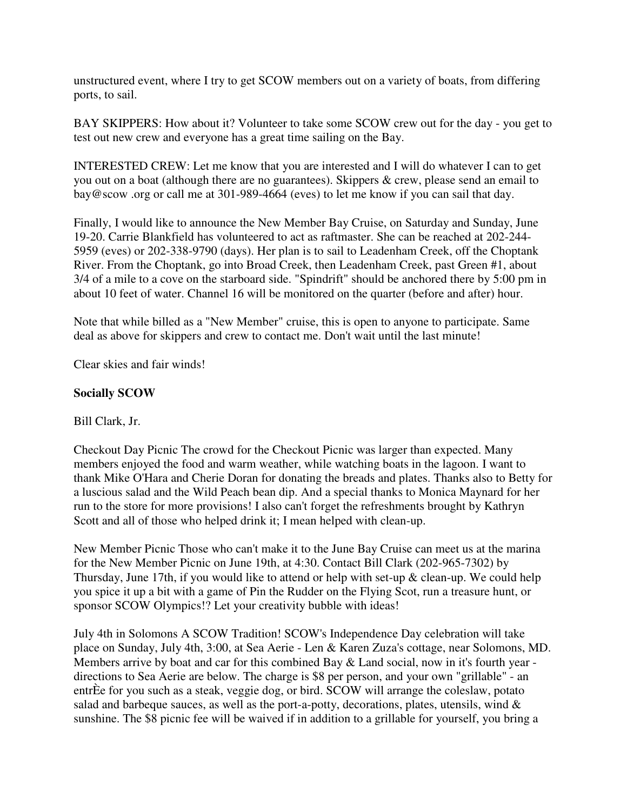unstructured event, where I try to get SCOW members out on a variety of boats, from differing ports, to sail.

BAY SKIPPERS: How about it? Volunteer to take some SCOW crew out for the day - you get to test out new crew and everyone has a great time sailing on the Bay.

INTERESTED CREW: Let me know that you are interested and I will do whatever I can to get you out on a boat (although there are no guarantees). Skippers & crew, please send an email to bay@scow .org or call me at 301-989-4664 (eves) to let me know if you can sail that day.

Finally, I would like to announce the New Member Bay Cruise, on Saturday and Sunday, June 19-20. Carrie Blankfield has volunteered to act as raftmaster. She can be reached at 202-244- 5959 (eves) or 202-338-9790 (days). Her plan is to sail to Leadenham Creek, off the Choptank River. From the Choptank, go into Broad Creek, then Leadenham Creek, past Green #1, about 3/4 of a mile to a cove on the starboard side. "Spindrift" should be anchored there by 5:00 pm in about 10 feet of water. Channel 16 will be monitored on the quarter (before and after) hour.

Note that while billed as a "New Member" cruise, this is open to anyone to participate. Same deal as above for skippers and crew to contact me. Don't wait until the last minute!

Clear skies and fair winds!

## **Socially SCOW**

#### Bill Clark, Jr.

Checkout Day Picnic The crowd for the Checkout Picnic was larger than expected. Many members enjoyed the food and warm weather, while watching boats in the lagoon. I want to thank Mike O'Hara and Cherie Doran for donating the breads and plates. Thanks also to Betty for a luscious salad and the Wild Peach bean dip. And a special thanks to Monica Maynard for her run to the store for more provisions! I also can't forget the refreshments brought by Kathryn Scott and all of those who helped drink it; I mean helped with clean-up.

New Member Picnic Those who can't make it to the June Bay Cruise can meet us at the marina for the New Member Picnic on June 19th, at 4:30. Contact Bill Clark (202-965-7302) by Thursday, June 17th, if you would like to attend or help with set-up  $\&$  clean-up. We could help you spice it up a bit with a game of Pin the Rudder on the Flying Scot, run a treasure hunt, or sponsor SCOW Olympics!? Let your creativity bubble with ideas!

July 4th in Solomons A SCOW Tradition! SCOW's Independence Day celebration will take place on Sunday, July 4th, 3:00, at Sea Aerie - Len & Karen Zuza's cottage, near Solomons, MD. Members arrive by boat and car for this combined Bay & Land social, now in it's fourth year directions to Sea Aerie are below. The charge is \$8 per person, and your own "grillable" - an entrÈe for you such as a steak, veggie dog, or bird. SCOW will arrange the coleslaw, potato salad and barbeque sauces, as well as the port-a-potty, decorations, plates, utensils, wind  $\&$ sunshine. The \$8 picnic fee will be waived if in addition to a grillable for yourself, you bring a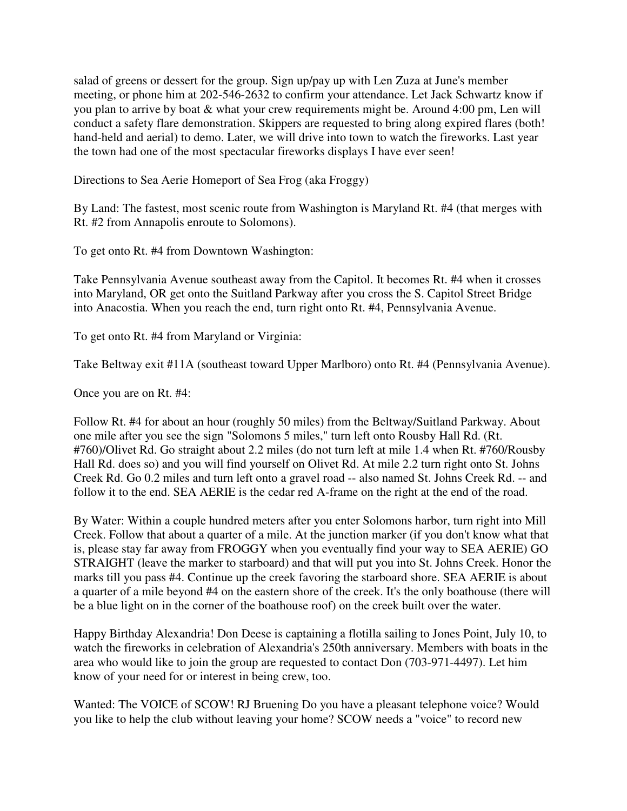salad of greens or dessert for the group. Sign up/pay up with Len Zuza at June's member meeting, or phone him at 202-546-2632 to confirm your attendance. Let Jack Schwartz know if you plan to arrive by boat & what your crew requirements might be. Around 4:00 pm, Len will conduct a safety flare demonstration. Skippers are requested to bring along expired flares (both! hand-held and aerial) to demo. Later, we will drive into town to watch the fireworks. Last year the town had one of the most spectacular fireworks displays I have ever seen!

Directions to Sea Aerie Homeport of Sea Frog (aka Froggy)

By Land: The fastest, most scenic route from Washington is Maryland Rt. #4 (that merges with Rt. #2 from Annapolis enroute to Solomons).

To get onto Rt. #4 from Downtown Washington:

Take Pennsylvania Avenue southeast away from the Capitol. It becomes Rt. #4 when it crosses into Maryland, OR get onto the Suitland Parkway after you cross the S. Capitol Street Bridge into Anacostia. When you reach the end, turn right onto Rt. #4, Pennsylvania Avenue.

To get onto Rt. #4 from Maryland or Virginia:

Take Beltway exit #11A (southeast toward Upper Marlboro) onto Rt. #4 (Pennsylvania Avenue).

Once you are on Rt. #4:

Follow Rt. #4 for about an hour (roughly 50 miles) from the Beltway/Suitland Parkway. About one mile after you see the sign "Solomons 5 miles," turn left onto Rousby Hall Rd. (Rt. #760)/Olivet Rd. Go straight about 2.2 miles (do not turn left at mile 1.4 when Rt. #760/Rousby Hall Rd. does so) and you will find yourself on Olivet Rd. At mile 2.2 turn right onto St. Johns Creek Rd. Go 0.2 miles and turn left onto a gravel road -- also named St. Johns Creek Rd. -- and follow it to the end. SEA AERIE is the cedar red A-frame on the right at the end of the road.

By Water: Within a couple hundred meters after you enter Solomons harbor, turn right into Mill Creek. Follow that about a quarter of a mile. At the junction marker (if you don't know what that is, please stay far away from FROGGY when you eventually find your way to SEA AERIE) GO STRAIGHT (leave the marker to starboard) and that will put you into St. Johns Creek. Honor the marks till you pass #4. Continue up the creek favoring the starboard shore. SEA AERIE is about a quarter of a mile beyond #4 on the eastern shore of the creek. It's the only boathouse (there will be a blue light on in the corner of the boathouse roof) on the creek built over the water.

Happy Birthday Alexandria! Don Deese is captaining a flotilla sailing to Jones Point, July 10, to watch the fireworks in celebration of Alexandria's 250th anniversary. Members with boats in the area who would like to join the group are requested to contact Don (703-971-4497). Let him know of your need for or interest in being crew, too.

Wanted: The VOICE of SCOW! RJ Bruening Do you have a pleasant telephone voice? Would you like to help the club without leaving your home? SCOW needs a "voice" to record new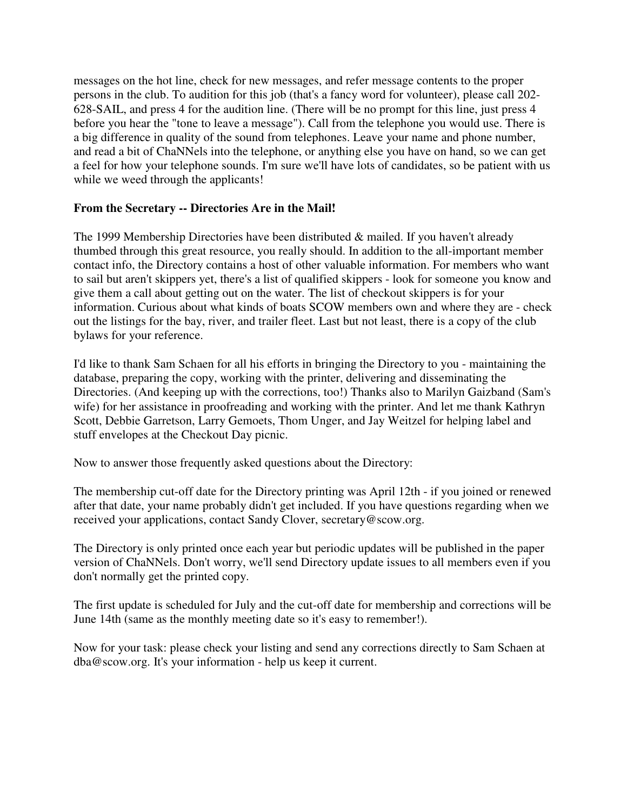messages on the hot line, check for new messages, and refer message contents to the proper persons in the club. To audition for this job (that's a fancy word for volunteer), please call 202- 628-SAIL, and press 4 for the audition line. (There will be no prompt for this line, just press 4 before you hear the "tone to leave a message"). Call from the telephone you would use. There is a big difference in quality of the sound from telephones. Leave your name and phone number, and read a bit of ChaNNels into the telephone, or anything else you have on hand, so we can get a feel for how your telephone sounds. I'm sure we'll have lots of candidates, so be patient with us while we weed through the applicants!

## **From the Secretary -- Directories Are in the Mail!**

The 1999 Membership Directories have been distributed & mailed. If you haven't already thumbed through this great resource, you really should. In addition to the all-important member contact info, the Directory contains a host of other valuable information. For members who want to sail but aren't skippers yet, there's a list of qualified skippers - look for someone you know and give them a call about getting out on the water. The list of checkout skippers is for your information. Curious about what kinds of boats SCOW members own and where they are - check out the listings for the bay, river, and trailer fleet. Last but not least, there is a copy of the club bylaws for your reference.

I'd like to thank Sam Schaen for all his efforts in bringing the Directory to you - maintaining the database, preparing the copy, working with the printer, delivering and disseminating the Directories. (And keeping up with the corrections, too!) Thanks also to Marilyn Gaizband (Sam's wife) for her assistance in proofreading and working with the printer. And let me thank Kathryn Scott, Debbie Garretson, Larry Gemoets, Thom Unger, and Jay Weitzel for helping label and stuff envelopes at the Checkout Day picnic.

Now to answer those frequently asked questions about the Directory:

The membership cut-off date for the Directory printing was April 12th - if you joined or renewed after that date, your name probably didn't get included. If you have questions regarding when we received your applications, contact Sandy Clover, secretary@scow.org.

The Directory is only printed once each year but periodic updates will be published in the paper version of ChaNNels. Don't worry, we'll send Directory update issues to all members even if you don't normally get the printed copy.

The first update is scheduled for July and the cut-off date for membership and corrections will be June 14th (same as the monthly meeting date so it's easy to remember!).

Now for your task: please check your listing and send any corrections directly to Sam Schaen at dba@scow.org. It's your information - help us keep it current.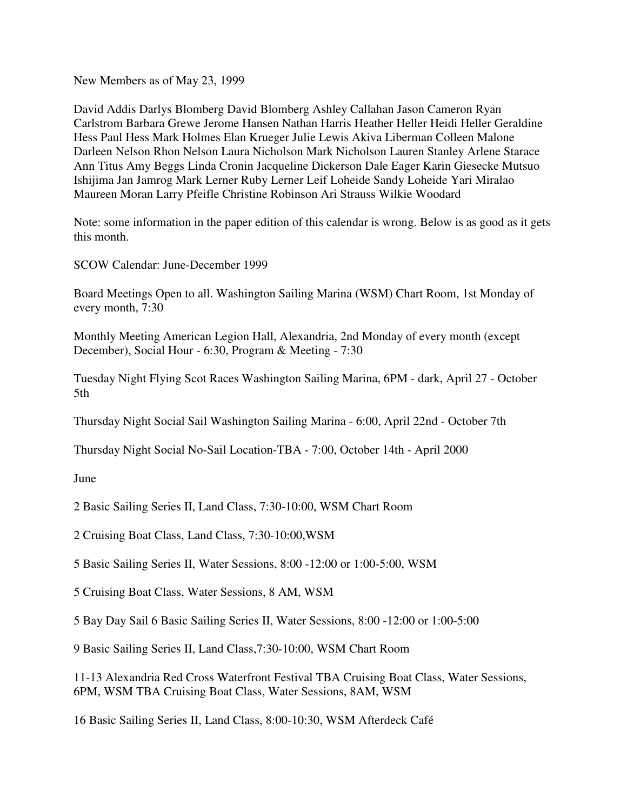New Members as of May 23, 1999

David Addis Darlys Blomberg David Blomberg Ashley Callahan Jason Cameron Ryan Carlstrom Barbara Grewe Jerome Hansen Nathan Harris Heather Heller Heidi Heller Geraldine Hess Paul Hess Mark Holmes Elan Krueger Julie Lewis Akiva Liberman Colleen Malone Darleen Nelson Rhon Nelson Laura Nicholson Mark Nicholson Lauren Stanley Arlene Starace Ann Titus Amy Beggs Linda Cronin Jacqueline Dickerson Dale Eager Karin Giesecke Mutsuo Ishijima Jan Jamrog Mark Lerner Ruby Lerner Leif Loheide Sandy Loheide Yari Miralao Maureen Moran Larry Pfeifle Christine Robinson Ari Strauss Wilkie Woodard

Note: some information in the paper edition of this calendar is wrong. Below is as good as it gets this month.

SCOW Calendar: June-December 1999

Board Meetings Open to all. Washington Sailing Marina (WSM) Chart Room, 1st Monday of every month, 7:30

Monthly Meeting American Legion Hall, Alexandria, 2nd Monday of every month (except December), Social Hour - 6:30, Program & Meeting - 7:30

Tuesday Night Flying Scot Races Washington Sailing Marina, 6PM - dark, April 27 - October 5th

Thursday Night Social Sail Washington Sailing Marina - 6:00, April 22nd - October 7th

Thursday Night Social No-Sail Location-TBA - 7:00, October 14th - April 2000

#### June

2 Basic Sailing Series II, Land Class, 7:30-10:00, WSM Chart Room

- 2 Cruising Boat Class, Land Class, 7:30-10:00,WSM
- 5 Basic Sailing Series II, Water Sessions, 8:00 -12:00 or 1:00-5:00, WSM
- 5 Cruising Boat Class, Water Sessions, 8 AM, WSM

5 Bay Day Sail 6 Basic Sailing Series II, Water Sessions, 8:00 -12:00 or 1:00-5:00

9 Basic Sailing Series II, Land Class,7:30-10:00, WSM Chart Room

11-13 Alexandria Red Cross Waterfront Festival TBA Cruising Boat Class, Water Sessions, 6PM, WSM TBA Cruising Boat Class, Water Sessions, 8AM, WSM

16 Basic Sailing Series II, Land Class, 8:00-10:30, WSM Afterdeck Café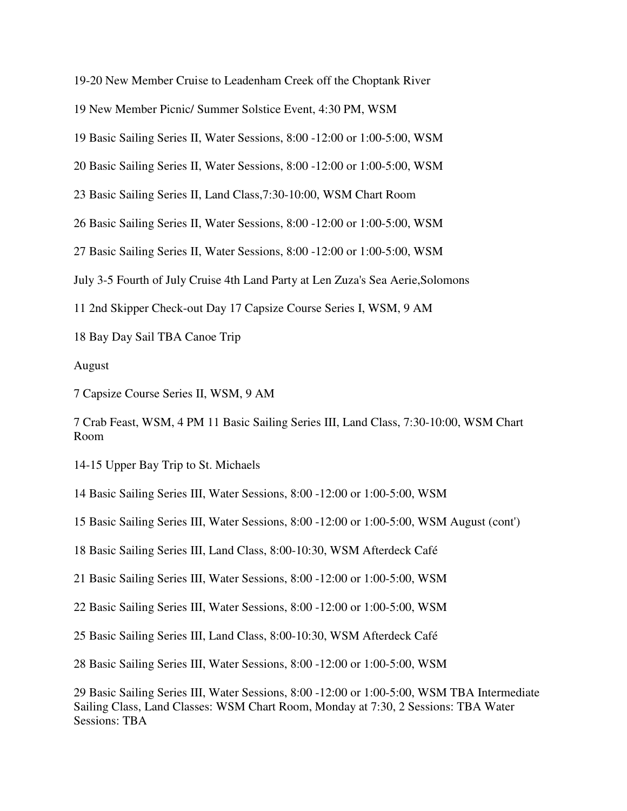19-20 New Member Cruise to Leadenham Creek off the Choptank River

New Member Picnic/ Summer Solstice Event, 4:30 PM, WSM

Basic Sailing Series II, Water Sessions, 8:00 -12:00 or 1:00-5:00, WSM

Basic Sailing Series II, Water Sessions, 8:00 -12:00 or 1:00-5:00, WSM

Basic Sailing Series II, Land Class,7:30-10:00, WSM Chart Room

Basic Sailing Series II, Water Sessions, 8:00 -12:00 or 1:00-5:00, WSM

Basic Sailing Series II, Water Sessions, 8:00 -12:00 or 1:00-5:00, WSM

July 3-5 Fourth of July Cruise 4th Land Party at Len Zuza's Sea Aerie,Solomons

2nd Skipper Check-out Day 17 Capsize Course Series I, WSM, 9 AM

Bay Day Sail TBA Canoe Trip

August

Capsize Course Series II, WSM, 9 AM

 Crab Feast, WSM, 4 PM 11 Basic Sailing Series III, Land Class, 7:30-10:00, WSM Chart Room

14-15 Upper Bay Trip to St. Michaels

Basic Sailing Series III, Water Sessions, 8:00 -12:00 or 1:00-5:00, WSM

Basic Sailing Series III, Water Sessions, 8:00 -12:00 or 1:00-5:00, WSM August (cont')

Basic Sailing Series III, Land Class, 8:00-10:30, WSM Afterdeck Café

Basic Sailing Series III, Water Sessions, 8:00 -12:00 or 1:00-5:00, WSM

Basic Sailing Series III, Water Sessions, 8:00 -12:00 or 1:00-5:00, WSM

Basic Sailing Series III, Land Class, 8:00-10:30, WSM Afterdeck Café

Basic Sailing Series III, Water Sessions, 8:00 -12:00 or 1:00-5:00, WSM

 Basic Sailing Series III, Water Sessions, 8:00 -12:00 or 1:00-5:00, WSM TBA Intermediate Sailing Class, Land Classes: WSM Chart Room, Monday at 7:30, 2 Sessions: TBA Water Sessions: TBA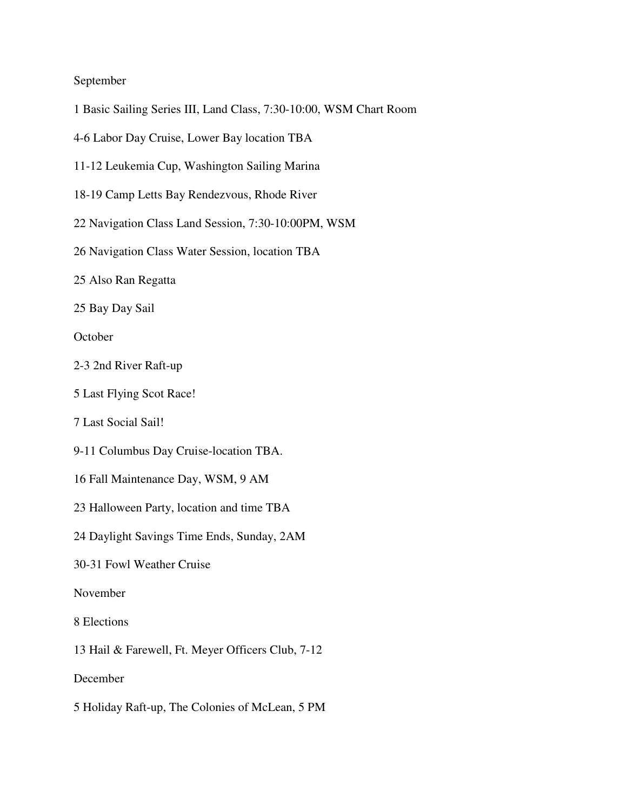### September

- 1 Basic Sailing Series III, Land Class, 7:30-10:00, WSM Chart Room
- 4-6 Labor Day Cruise, Lower Bay location TBA
- 11-12 Leukemia Cup, Washington Sailing Marina
- 18-19 Camp Letts Bay Rendezvous, Rhode River
- 22 Navigation Class Land Session, 7:30-10:00PM, WSM
- 26 Navigation Class Water Session, location TBA
- 25 Also Ran Regatta
- 25 Bay Day Sail

October

- 2-3 2nd River Raft-up
- 5 Last Flying Scot Race!
- 7 Last Social Sail!
- 9-11 Columbus Day Cruise-location TBA.
- 16 Fall Maintenance Day, WSM, 9 AM
- 23 Halloween Party, location and time TBA
- 24 Daylight Savings Time Ends, Sunday, 2AM
- 30-31 Fowl Weather Cruise

November

- 8 Elections
- 13 Hail & Farewell, Ft. Meyer Officers Club, 7-12

December

5 Holiday Raft-up, The Colonies of McLean, 5 PM